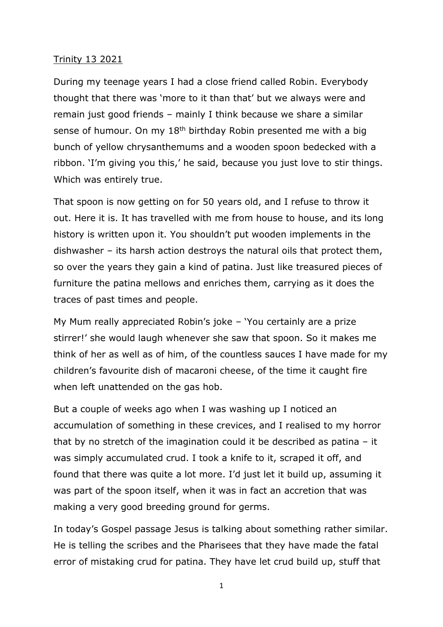## Trinity 13 2021

During my teenage years I had a close friend called Robin. Everybody thought that there was 'more to it than that' but we always were and remain just good friends – mainly I think because we share a similar sense of humour. On my 18<sup>th</sup> birthday Robin presented me with a big bunch of yellow chrysanthemums and a wooden spoon bedecked with a ribbon. 'I'm giving you this,' he said, because you just love to stir things. Which was entirely true.

That spoon is now getting on for 50 years old, and I refuse to throw it out. Here it is. It has travelled with me from house to house, and its long history is written upon it. You shouldn't put wooden implements in the dishwasher – its harsh action destroys the natural oils that protect them, so over the years they gain a kind of patina. Just like treasured pieces of furniture the patina mellows and enriches them, carrying as it does the traces of past times and people.

My Mum really appreciated Robin's joke – 'You certainly are a prize stirrer!' she would laugh whenever she saw that spoon. So it makes me think of her as well as of him, of the countless sauces I have made for my children's favourite dish of macaroni cheese, of the time it caught fire when left unattended on the gas hob.

But a couple of weeks ago when I was washing up I noticed an accumulation of something in these crevices, and I realised to my horror that by no stretch of the imagination could it be described as patina – it was simply accumulated crud. I took a knife to it, scraped it off, and found that there was quite a lot more. I'd just let it build up, assuming it was part of the spoon itself, when it was in fact an accretion that was making a very good breeding ground for germs.

In today's Gospel passage Jesus is talking about something rather similar. He is telling the scribes and the Pharisees that they have made the fatal error of mistaking crud for patina. They have let crud build up, stuff that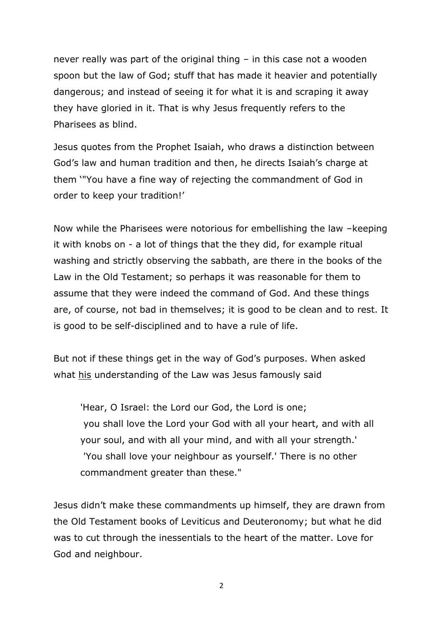never really was part of the original thing – in this case not a wooden spoon but the law of God; stuff that has made it heavier and potentially dangerous; and instead of seeing it for what it is and scraping it away they have gloried in it. That is why Jesus frequently refers to the Pharisees as blind.

Jesus quotes from the Prophet Isaiah, who draws a distinction between God's law and human tradition and then, he directs Isaiah's charge at them '"You have a fine way of rejecting the commandment of God in order to keep your tradition!'

Now while the Pharisees were notorious for embellishing the law –keeping it with knobs on - a lot of things that the they did, for example ritual washing and strictly observing the sabbath, are there in the books of the Law in the Old Testament; so perhaps it was reasonable for them to assume that they were indeed the command of God. And these things are, of course, not bad in themselves; it is good to be clean and to rest. It is good to be self-disciplined and to have a rule of life.

But not if these things get in the way of God's purposes. When asked what his understanding of the Law was Jesus famously said

'Hear, O Israel: the Lord our God, the Lord is one; you shall love the Lord your God with all your heart, and with all your soul, and with all your mind, and with all your strength.' 'You shall love your neighbour as yourself.' There is no other commandment greater than these."

Jesus didn't make these commandments up himself, they are drawn from the Old Testament books of Leviticus and Deuteronomy; but what he did was to cut through the inessentials to the heart of the matter. Love for God and neighbour.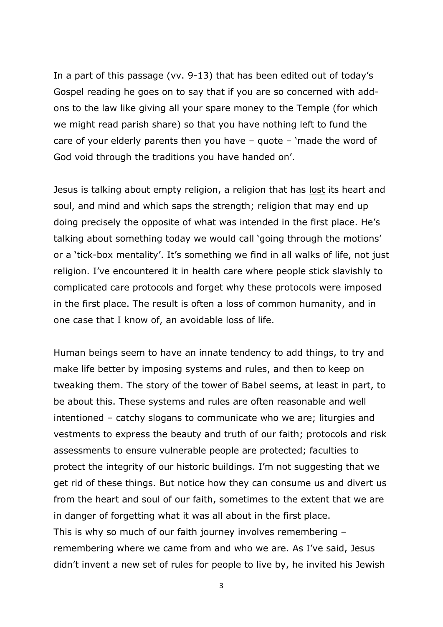In a part of this passage (vv. 9-13) that has been edited out of today's Gospel reading he goes on to say that if you are so concerned with addons to the law like giving all your spare money to the Temple (for which we might read parish share) so that you have nothing left to fund the care of your elderly parents then you have – quote – 'made the word of God void through the traditions you have handed on'.

Jesus is talking about empty religion, a religion that has lost its heart and soul, and mind and which saps the strength; religion that may end up doing precisely the opposite of what was intended in the first place. He's talking about something today we would call 'going through the motions' or a 'tick-box mentality'. It's something we find in all walks of life, not just religion. I've encountered it in health care where people stick slavishly to complicated care protocols and forget why these protocols were imposed in the first place. The result is often a loss of common humanity, and in one case that I know of, an avoidable loss of life.

Human beings seem to have an innate tendency to add things, to try and make life better by imposing systems and rules, and then to keep on tweaking them. The story of the tower of Babel seems, at least in part, to be about this. These systems and rules are often reasonable and well intentioned – catchy slogans to communicate who we are; liturgies and vestments to express the beauty and truth of our faith; protocols and risk assessments to ensure vulnerable people are protected; faculties to protect the integrity of our historic buildings. I'm not suggesting that we get rid of these things. But notice how they can consume us and divert us from the heart and soul of our faith, sometimes to the extent that we are in danger of forgetting what it was all about in the first place. This is why so much of our faith journey involves remembering – remembering where we came from and who we are. As I've said, Jesus didn't invent a new set of rules for people to live by, he invited his Jewish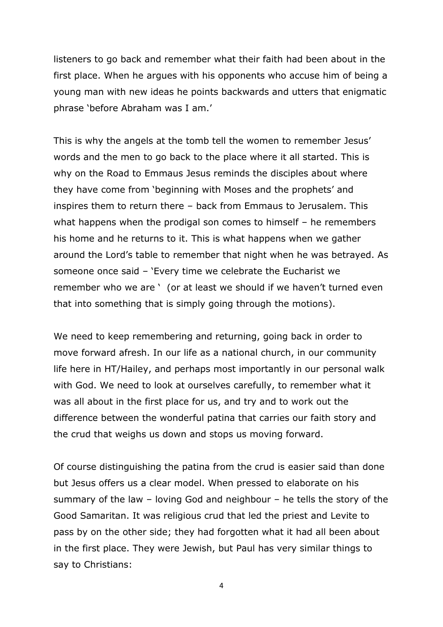listeners to go back and remember what their faith had been about in the first place. When he argues with his opponents who accuse him of being a young man with new ideas he points backwards and utters that enigmatic phrase 'before Abraham was I am.'

This is why the angels at the tomb tell the women to remember Jesus' words and the men to go back to the place where it all started. This is why on the Road to Emmaus Jesus reminds the disciples about where they have come from 'beginning with Moses and the prophets' and inspires them to return there – back from Emmaus to Jerusalem. This what happens when the prodigal son comes to himself – he remembers his home and he returns to it. This is what happens when we gather around the Lord's table to remember that night when he was betrayed. As someone once said – 'Every time we celebrate the Eucharist we remember who we are ' (or at least we should if we haven't turned even that into something that is simply going through the motions).

We need to keep remembering and returning, going back in order to move forward afresh. In our life as a national church, in our community life here in HT/Hailey, and perhaps most importantly in our personal walk with God. We need to look at ourselves carefully, to remember what it was all about in the first place for us, and try and to work out the difference between the wonderful patina that carries our faith story and the crud that weighs us down and stops us moving forward.

Of course distinguishing the patina from the crud is easier said than done but Jesus offers us a clear model. When pressed to elaborate on his summary of the law – loving God and neighbour – he tells the story of the Good Samaritan. It was religious crud that led the priest and Levite to pass by on the other side; they had forgotten what it had all been about in the first place. They were Jewish, but Paul has very similar things to say to Christians: